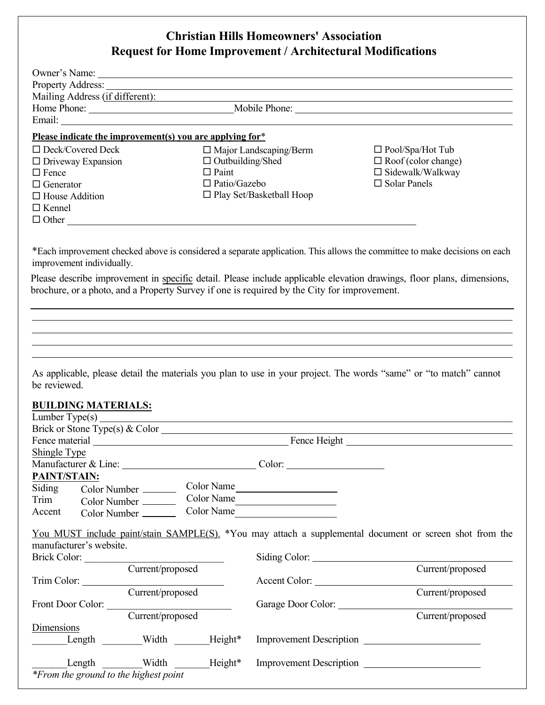## **Christian Hills Homeowners' Association Request for Home Improvement / Architectural Modifications**

|                                                          |                  |                                         |                                                                                                                         | Mailing Address (if different): Mailing Address (if different):                                                                                                                                                                                                                                                                 |
|----------------------------------------------------------|------------------|-----------------------------------------|-------------------------------------------------------------------------------------------------------------------------|---------------------------------------------------------------------------------------------------------------------------------------------------------------------------------------------------------------------------------------------------------------------------------------------------------------------------------|
|                                                          |                  |                                         |                                                                                                                         |                                                                                                                                                                                                                                                                                                                                 |
|                                                          |                  |                                         |                                                                                                                         |                                                                                                                                                                                                                                                                                                                                 |
| Please indicate the improvement(s) you are applying for* |                  |                                         |                                                                                                                         |                                                                                                                                                                                                                                                                                                                                 |
| $\Box$ Deck/Covered Deck                                 |                  |                                         | $\Box$ Major Landscaping/Berm                                                                                           | $\Box$ Pool/Spa/Hot Tub                                                                                                                                                                                                                                                                                                         |
| $\Box$ Driveway Expansion<br>$\Box$ Fence                |                  | $\Box$ Outbuilding/Shed<br>$\Box$ Paint |                                                                                                                         | $\Box$ Roof (color change)<br>$\Box$ Sidewalk/Walkway                                                                                                                                                                                                                                                                           |
| $\Box$ Generator                                         |                  | $\Box$ Patio/Gazebo                     |                                                                                                                         | $\Box$ Solar Panels                                                                                                                                                                                                                                                                                                             |
| $\Box$ House Addition                                    |                  |                                         | $\Box$ Play Set/Basketball Hoop                                                                                         |                                                                                                                                                                                                                                                                                                                                 |
| $\Box$ Kennel                                            |                  |                                         |                                                                                                                         |                                                                                                                                                                                                                                                                                                                                 |
| $\Box$ Other                                             |                  |                                         |                                                                                                                         |                                                                                                                                                                                                                                                                                                                                 |
| be reviewed.                                             |                  |                                         | brochure, or a photo, and a Property Survey if one is required by the City for improvement.                             | Please describe improvement in specific detail. Please include applicable elevation drawings, floor plans, dimensions,<br>,我们也不会有什么。""我们的人,我们也不会有什么?""我们的人,我们也不会有什么?""我们的人,我们也不会有什么?""我们的人,我们也不会有什么?""我们的人<br>As applicable, please detail the materials you plan to use in your project. The words "same" or "to match" cannot |
| <b>BUILDING MATERIALS:</b>                               |                  |                                         |                                                                                                                         |                                                                                                                                                                                                                                                                                                                                 |
| Brick or Stone Type(s) & Color                           |                  |                                         |                                                                                                                         |                                                                                                                                                                                                                                                                                                                                 |
|                                                          |                  |                                         |                                                                                                                         |                                                                                                                                                                                                                                                                                                                                 |
| Shingle Type                                             |                  |                                         |                                                                                                                         |                                                                                                                                                                                                                                                                                                                                 |
| Manufacturer & Line:                                     |                  |                                         |                                                                                                                         |                                                                                                                                                                                                                                                                                                                                 |
| PAINT/STAIN:                                             |                  |                                         |                                                                                                                         |                                                                                                                                                                                                                                                                                                                                 |
| Siding                                                   | Color Number     |                                         | Color Name                                                                                                              |                                                                                                                                                                                                                                                                                                                                 |
| Trim                                                     | Color Number     | Color Name                              | <u> 1989 - Johann Stoff, deutscher Stoffen und der Stoffen und der Stoffen und der Stoffen und der Stoffen und der </u> |                                                                                                                                                                                                                                                                                                                                 |
| Accent                                                   | Color Number     | Color Name                              | <u> 1989 - Jan Barbarat, prima politik politik (</u>                                                                    |                                                                                                                                                                                                                                                                                                                                 |
|                                                          |                  |                                         |                                                                                                                         | You MUST include paint/stain SAMPLE(S). *You may attach a supplemental document or screen shot from the                                                                                                                                                                                                                         |
| manufacturer's website.                                  |                  |                                         |                                                                                                                         |                                                                                                                                                                                                                                                                                                                                 |
| Brick Color:                                             |                  |                                         |                                                                                                                         |                                                                                                                                                                                                                                                                                                                                 |
|                                                          | Current/proposed |                                         |                                                                                                                         | Current/proposed                                                                                                                                                                                                                                                                                                                |
| Trim Color:                                              |                  |                                         | Accent Color:                                                                                                           |                                                                                                                                                                                                                                                                                                                                 |
|                                                          | Current/proposed |                                         |                                                                                                                         | Current/proposed                                                                                                                                                                                                                                                                                                                |
| Front Door Color:                                        | Current/proposed |                                         | Garage Door Color:                                                                                                      | Current/proposed                                                                                                                                                                                                                                                                                                                |
| Dimensions                                               |                  |                                         |                                                                                                                         |                                                                                                                                                                                                                                                                                                                                 |
| Length                                                   | Width            | Height*                                 |                                                                                                                         | Improvement Description                                                                                                                                                                                                                                                                                                         |
| Length                                                   | Width            | Height*                                 |                                                                                                                         | Improvement Description                                                                                                                                                                                                                                                                                                         |

*\*From the ground to the highest point*